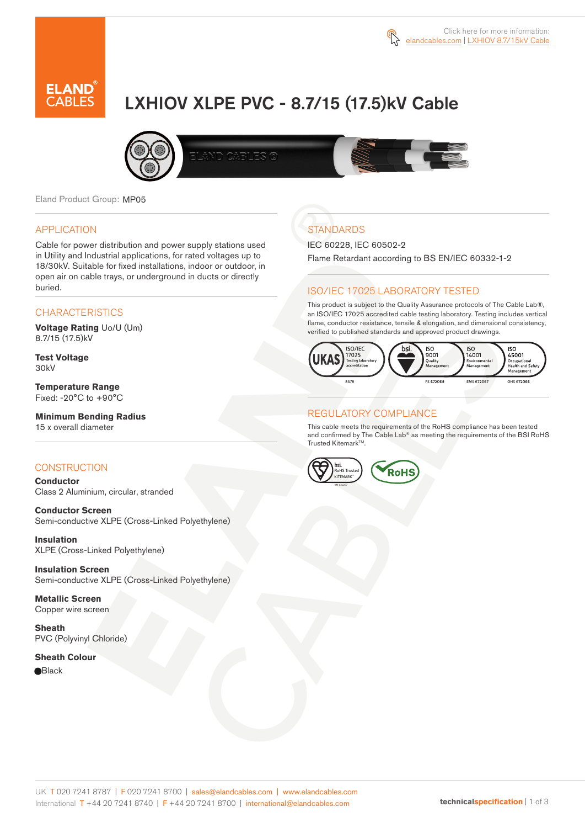

# LXHIOV XLPE PVC - 8.7/15 (17.5)kV Cable



Eland Product Group: MP05

#### APPLICATION

Cable for power distribution and power supply stations used in Utility and Industrial applications, for rated voltages up to 18/30kV. Suitable for fixed installations, indoor or outdoor, in open air on cable trays, or underground in ducts or directly buried.

#### **CHARACTERISTICS**

**Voltage Rating** Uo/U (Um) 8.7/15 (17.5)kV

**Test Voltage** 30kV

**Temperature Range** Fixed: -20°C to +90°C

## **Minimum Bending Radius**

15 x overall diameter

#### **CONSTRUCTION**

**Conductor**  Class 2 Aluminium, circular, stranded

**Conductor Screen** Semi-conductive XLPE (Cross-Linked Polyethylene)

**Insulation** XLPE (Cross-Linked Polyethylene)

**Insulation Screen** Semi-conductive XLPE (Cross-Linked Polyethylene)

**Metallic Screen**  Copper wire screen

**Sheath** PVC (Polyvinyl Chloride)

**Sheath Colour Black** 

# **STANDARDS**

IEC 60228, IEC 60502-2

Flame Retardant according to BS EN/IEC 60332-1-2

#### ISO/IEC 17025 LABORATORY TESTED

This product is subject to the Quality Assurance protocols of The Cable Lab®, an ISO/IEC 17025 accredited cable testing laboratory. Testing includes vertical flame, conductor resistance, tensile & elongation, and dimensional consistency, verified to published standards and approved product drawings.



#### REGULATORY COMPLIANCE

This cable meets the requirements of the RoHS compliance has been tested and confirmed by The Cable Lab® as meeting the requirements of the BSI RoHS Trusted Kitemark™.



UK T 020 7241 8787 | F 020 7241 8700 | sales@elandcables.com | www.elandcables.com International T +44 20 7241 8740 | F +44 20 7241 8700 | international@elandcables.com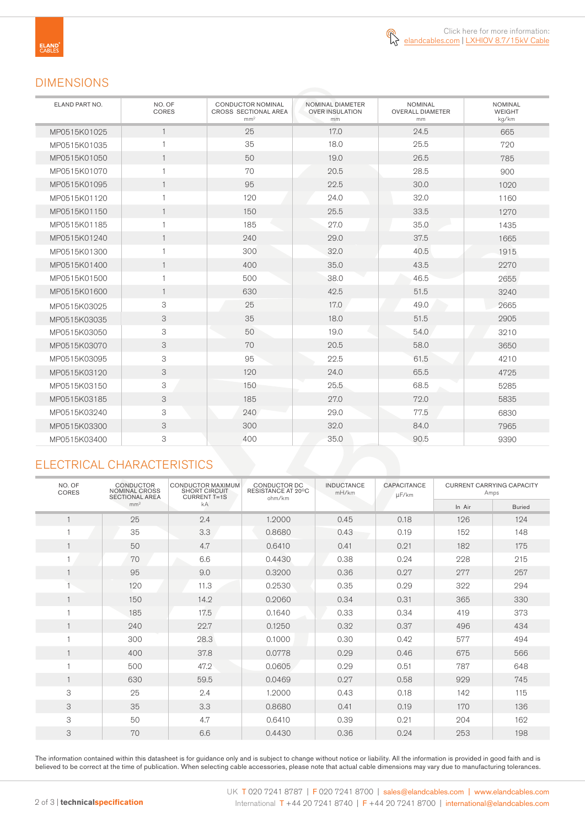

### DIMENSIONS

| ELAND PART NO. | NO. OF<br>CORES | <b>CONDUCTOR NOMINAL</b><br><b>CROSS SECTIONAL AREA</b><br>mm <sup>2</sup> | NOMINAL DIAMETER<br><b>OVER INSULATION</b><br>mm | <b>NOMINAL</b><br><b>OVERALL DIAMETER</b><br>mm | <b>NOMINAL</b><br><b>WEIGHT</b><br>kg/km |
|----------------|-----------------|----------------------------------------------------------------------------|--------------------------------------------------|-------------------------------------------------|------------------------------------------|
| MP0515K01025   | $\mathbf{1}$    | 25                                                                         | 17.0                                             | 24.5                                            | 665                                      |
| MP0515K01035   | 1               | 35                                                                         | 18.0                                             | 25.5                                            | 720                                      |
| MP0515K01050   | $\mathbf{1}$    | 50                                                                         | 19.0                                             | 26.5                                            | 785                                      |
| MP0515K01070   | $\mathbf{1}$    | 70                                                                         | 20.5                                             | 28.5                                            | 900                                      |
| MP0515K01095   | $\mathbf{1}$    | 95                                                                         | 22.5                                             | 30.0                                            | 1020                                     |
| MP0515K01120   | 1               | 120                                                                        | 24.0                                             | 32.0                                            | 1160                                     |
| MP0515K01150   | $\mathbf{1}$    | 150                                                                        | 25.5                                             | 33.5                                            | 1270                                     |
| MP0515K01185   | $\mathbf{1}$    | 185                                                                        | 27.0                                             | 35.0                                            | 1435                                     |
| MP0515K01240   | $\mathbf{1}$    | 240                                                                        | 29.0                                             | 37.5                                            | 1665                                     |
| MP0515K01300   | $\mathbf{1}$    | 300                                                                        | 32.0                                             | 40.5                                            | 1915                                     |
| MP0515K01400   | $\mathbf{1}$    | 400                                                                        | 35.0                                             | 43.5                                            | 2270                                     |
| MP0515K01500   | $\mathbf{1}$    | 500                                                                        | 38.0                                             | 46.5                                            | 2655                                     |
| MP0515K01600   | $\mathbf{1}$    | 630                                                                        | 42.5                                             | 51.5                                            | 3240                                     |
| MP0515K03025   | 3               | 25                                                                         | 17.0                                             | 49.0                                            | 2665                                     |
| MP0515K03035   | 3               | 35                                                                         | 18.0                                             | 51.5                                            | 2905                                     |
| MP0515K03050   | 3               | 50                                                                         | 19.0                                             | 54.0                                            | 3210                                     |
| MP0515K03070   | 3               | 70                                                                         | 20.5                                             | 58.0                                            | 3650                                     |
| MP0515K03095   | 3               | 95                                                                         | 22.5                                             | 61.5                                            | 4210                                     |
| MP0515K03120   | 3               | 120                                                                        | 24.0                                             | 65.5                                            | 4725                                     |
| MP0515K03150   | 3               | 150                                                                        | 25.5                                             | 68.5                                            | 5285                                     |
| MP0515K03185   | 3               | 185                                                                        | 27.0                                             | 72.0                                            | 5835                                     |
| MP0515K03240   | 3               | 240                                                                        | 29.0                                             | 77.5                                            | 6830                                     |
| MP0515K03300   | 3               | 300                                                                        | 32.0                                             | 84.0                                            | 7965                                     |
| MP0515K03400   | 3               | 400                                                                        | 35.0                                             | 90.5                                            | 9390                                     |

# ELECTRICAL CHARACTERISTICS

| NO. OF<br>CORES | <b>CONDUCTOR</b><br><b>NOMINAL CROSS</b><br><b>SECTIONAL AREA</b> | CONDUCTOR MAXIMUM<br><b>SHORT CIRCUIT</b><br><b>CURRENT T=1S</b> | CONDUCTOR DC<br>RESISTANCE AT 20°C<br>ohm/km | <b>INDUCTANCE</b><br>mH/km | <b>CAPACITANCE</b><br>µF/km | <b>CURRENT CARRYING CAPACITY</b><br>Amps |               |
|-----------------|-------------------------------------------------------------------|------------------------------------------------------------------|----------------------------------------------|----------------------------|-----------------------------|------------------------------------------|---------------|
|                 | mm <sup>2</sup>                                                   | kA                                                               |                                              |                            |                             | In Air                                   | <b>Buried</b> |
|                 | 25                                                                | 2.4                                                              | 1.2000                                       | 0.45                       | 0.18                        | 126                                      | 124           |
|                 | 35                                                                | 3.3                                                              | 0.8680                                       | 0.43                       | 0.19                        | 152                                      | 148           |
|                 | 50                                                                | 4.7                                                              | 0.6410                                       | 0.41                       | 0.21                        | 182                                      | 175           |
|                 | 70                                                                | 6.6                                                              | 0.4430                                       | 0.38                       | 0.24                        | 228                                      | 215           |
|                 | 95                                                                | 9.0                                                              | 0.3200                                       | 0.36                       | 0.27                        | 277                                      | 257           |
|                 | 120                                                               | 11.3                                                             | 0.2530                                       | 0.35                       | 0.29                        | 322                                      | 294           |
| $\mathbf{1}$    | 150                                                               | 14.2                                                             | 0.2060                                       | 0.34                       | 0.31                        | 365                                      | 330           |
|                 | 185                                                               | 17.5                                                             | 0.1640                                       | 0.33                       | 0.34                        | 419                                      | 373           |
| $\mathbf{1}$    | 240                                                               | 22.7                                                             | 0.1250                                       | 0.32                       | 0.37                        | 496                                      | 434           |
|                 | 300                                                               | 28.3                                                             | 0.1000                                       | 0.30                       | 0.42                        | 577                                      | 494           |
|                 | 400                                                               | 37.8                                                             | 0.0778                                       | 0.29                       | 0.46                        | 675                                      | 566           |
|                 | 500                                                               | 47.2                                                             | 0.0605                                       | 0.29                       | 0.51                        | 787                                      | 648           |
|                 | 630                                                               | 59.5                                                             | 0.0469                                       | 0.27                       | 0.58                        | 929                                      | 745           |
| 3               | 25                                                                | 2.4                                                              | 1.2000                                       | 0.43                       | 0.18                        | 142                                      | 115           |
| 3               | 35                                                                | 3.3                                                              | 0.8680                                       | 0.41                       | 0.19                        | 170                                      | 136           |
| 3               | 50                                                                | 4.7                                                              | 0.6410                                       | 0.39                       | 0.21                        | 204                                      | 162           |
| 3               | 70                                                                | 6.6                                                              | 0.4430                                       | 0.36                       | 0.24                        | 253                                      | 198           |

The information contained within this datasheet is for guidance only and is subject to change without notice or liability. All the information is provided in good faith and is believed to be correct at the time of publication. When selecting cable accessories, please note that actual cable dimensions may vary due to manufacturing tolerances.